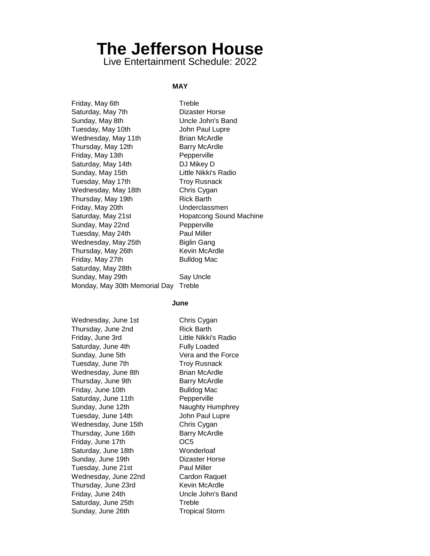# **The Jefferson House**

Live Entertainment Schedule: 2022

## **MAY**

Friday, May 6th Treble Saturday, May 7th Dizaster Horse Sunday, May 8th Uncle John's Band Tuesday, May 10th **Internal Stuart Addam** John Paul Lupre Wednesday, May 11th Brian McArdle Thursday, May 12th Barry McArdle Friday, May 13th Pepperville Saturday, May 14th DJ Mikey D Sunday, May 15th Little Nikki's Radio Tuesday, May 17th Troy Rusnack Wednesday, May 18th Chris Cygan Thursday, May 19th **Rick Barth** Friday, May 20th Underclassmen Saturday, May 21st **Hopatcong Sound Machine** Sunday, May 22nd Pepperville Tuesday, May 24th Paul Miller Wednesday, May 25th Biglin Gang Thursday, May 26th Kevin McArdle Friday, May 27th Bulldog Mac Saturday, May 28th Sunday, May 29th Say Uncle Monday, May 30th Memorial Day Treble

#### **June**

Wednesday, June 1st Chris Cygan Thursday, June 2nd **Rick Barth** Friday, June 3rd Little Nikki's Radio Saturday, June 4th Fully Loaded Sunday, June 5th Vera and the Force Tuesday, June 7th Troy Rusnack Wednesday, June 8th **Brian McArdle** Thursday, June 9th Barry McArdle Friday, June 10th Bulldog Mac Saturday, June 11th Pepperville Sunday, June 12th Naughty Humphrey Tuesday, June 14th John Paul Lupre Wednesday, June 15th Chris Cygan Thursday, June 16th Barry McArdle Friday, June 17th **OC5** Saturday, June 18th Wonderloaf Sunday, June 19th Dizaster Horse Tuesday, June 21st **Paul Miller** Wednesday, June 22nd Cardon Raquet Thursday, June 23rd Kevin McArdle Friday, June 24th Uncle John's Band Saturday, June 25th Treble Sunday, June 26th Tropical Storm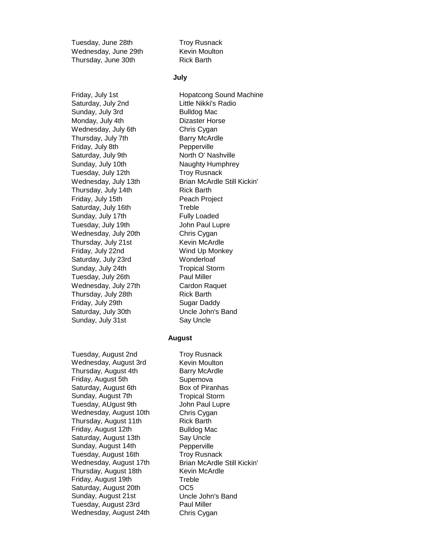Tuesday, June 28th Troy Rusnack Wednesday, June 29th Kevin Moulton Thursday, June 30th Rick Barth

Saturday, July 2nd Little Nikki's Radio Sunday, July 3rd Bulldog Mac Monday, July 4th Dizaster Horse Wednesday, July 6th Chris Cygan Thursday, July 7th Barry McArdle Friday, July 8th Pepperville Saturday, July 9th North O' Nashville Sunday, July 10th Naughty Humphrey Tuesday, July 12th Troy Rusnack Thursday, July 14th Rick Barth Friday, July 15th **Peach Project** Saturday, July 16th Treble Sunday, July 17th Fully Loaded Tuesday, July 19th **John Paul Lupre** Wednesday, July 20th Chris Cygan Thursday, July 21st Kevin McArdle Friday, July 22nd Wind Up Monkey Saturday, July 23rd Wonderloaf Sunday, July 24th Tropical Storm Tuesday, July 26th Paul Miller Wednesday, July 27th Cardon Raquet Thursday, July 28th Rick Barth Friday, July 29th Sugar Daddy Saturday, July 30th Uncle John's Band Sunday, July 31st Say Uncle

Tuesday, August 2nd Wednesday, August 3rd Thursday, August 4th Friday, August 5th Saturday, August 6th Sunday, August 7th Tuesday, AUgust 9th Wednesday, August 10th Thursday, August 11th Friday, August 12th Saturday, August 13th Sunday, August 14th Tuesday, August 16th Wednesday, August 17th Thursday, August 18th Friday, August 19th Saturday, August 20th Sunday, August 21st Tuesday, August 23rd Wednesday, August 24th

### **July**

Friday, July 1st **Hopatcong Sound Machine** Wednesday, July 13th Brian McArdle Still Kickin'

### **August**

Troy Rusnack Kevin Moulton Barry McArdle **Supernova** Box of Piranhas Tropical Storm John Paul Lupre Chris Cygan Rick Barth Bulldog Mac Say Uncle **Pepperville** Troy Rusnack Brian McArdle Still Kickin' Kevin McArdle Treble OC5 Uncle John's Band Paul Miller Chris Cygan